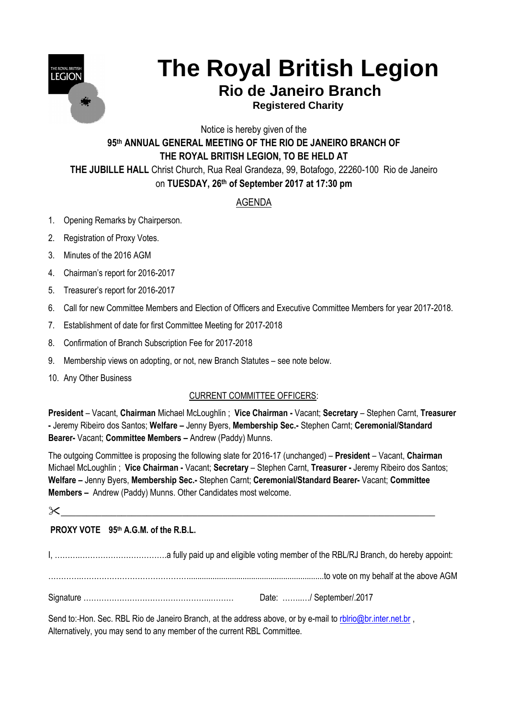

# **The Royal British Legion**

## **Rio de Janeiro Branch**

 **Registered Charity**

Notice is hereby given of the **95 th ANNUAL GENERAL MEETING OF THE RIO DE JANEIRO BRANCH OF THE ROYAL BRITISH LEGION, TO BE HELD AT THE JUBILLE HALL** Christ Church, Rua Real Grandeza, 99, Botafogo, 22260-100 Rio de Janeiro

on **TUESDAY, 26 th of September 2017 at 17:30 pm**

### AGENDA

- 1. Opening Remarks by Chairperson.
- 2. Registration of Proxy Votes.
- 3. Minutes of the 2016 AGM
- 4. Chairman's report for 2016-2017
- 5. Treasurer's report for 2016-2017
- 6. Call for new Committee Members and Election of Officers and Executive Committee Members for year 2017-2018.
- 7. Establishment of date for first Committee Meeting for 2017-2018
- 8. Confirmation of Branch Subscription Fee for 2017-2018
- 9. Membership views on adopting, or not, new Branch Statutes see note below.
- 10. Any Other Business

#### CURRENT COMMITTEE OFFICERS:

**President** – Vacant, **Chairman** Michael McLoughlin ; **Vice Chairman -** Vacant; **Secretary** – Stephen Carnt, **Treasurer -** Jeremy Ribeiro dos Santos; **Welfare –** Jenny Byers, **Membership Sec.-** Stephen Carnt; **Ceremonial/Standard Bearer-** Vacant; **Committee Members –** Andrew (Paddy) Munns.

The outgoing Committee is proposing the following slate for 2016-17 (unchanged) – **President** – Vacant, **Chairman** Michael McLoughlin ; **Vice Chairman -** Vacant; **Secretary** – Stephen Carnt, **Treasurer -** Jeremy Ribeiro dos Santos; **Welfare –** Jenny Byers, **Membership Sec.-** Stephen Carnt; **Ceremonial/Standard Bearer-** Vacant; **Committee Members –** Andrew (Paddy) Munns. Other Candidates most welcome.

\_\_\_\_\_\_\_\_\_\_\_\_\_\_\_\_\_\_\_\_\_\_\_\_\_\_\_\_\_\_\_\_\_\_\_\_\_\_\_\_\_\_\_\_\_\_\_\_\_\_\_\_\_\_\_\_\_\_\_\_\_\_\_\_\_\_\_\_\_\_\_\_\_\_

#### **PROXY VOTE 95 th A.G.M. of the R.B.L.**

I, ……….…………………………….a fully paid up and eligible voting member of the RBL/RJ Branch, do hereby appoint: ………….……………………………………...............................................................to vote on my behalf at the above AGM Signature …………………………………………..……… Date: ……..…/ September/.2017

Send to: Hon. Sec. RBL Rio de Janeiro Branch, at the address above, or by e-mail to [rblrio@br.inter.net.br](mailto:rblrio@br.inter.net.br), Alternatively, you may send to any member of the current RBL Committee.